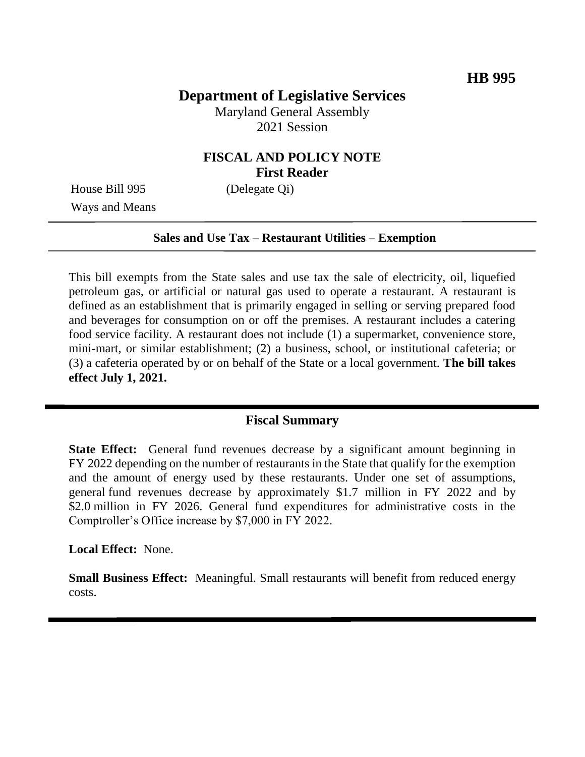# **Department of Legislative Services**

Maryland General Assembly 2021 Session

## **FISCAL AND POLICY NOTE First Reader**

House Bill 995 (Delegate Qi) Ways and Means

#### **Sales and Use Tax – Restaurant Utilities – Exemption**

This bill exempts from the State sales and use tax the sale of electricity, oil, liquefied petroleum gas, or artificial or natural gas used to operate a restaurant. A restaurant is defined as an establishment that is primarily engaged in selling or serving prepared food and beverages for consumption on or off the premises. A restaurant includes a catering food service facility. A restaurant does not include (1) a supermarket, convenience store, mini-mart, or similar establishment; (2) a business, school, or institutional cafeteria; or (3) a cafeteria operated by or on behalf of the State or a local government. **The bill takes effect July 1, 2021.**

#### **Fiscal Summary**

**State Effect:** General fund revenues decrease by a significant amount beginning in FY 2022 depending on the number of restaurants in the State that qualify for the exemption and the amount of energy used by these restaurants. Under one set of assumptions, general fund revenues decrease by approximately \$1.7 million in FY 2022 and by \$2.0 million in FY 2026. General fund expenditures for administrative costs in the Comptroller's Office increase by \$7,000 in FY 2022.

**Local Effect:** None.

**Small Business Effect:** Meaningful. Small restaurants will benefit from reduced energy costs.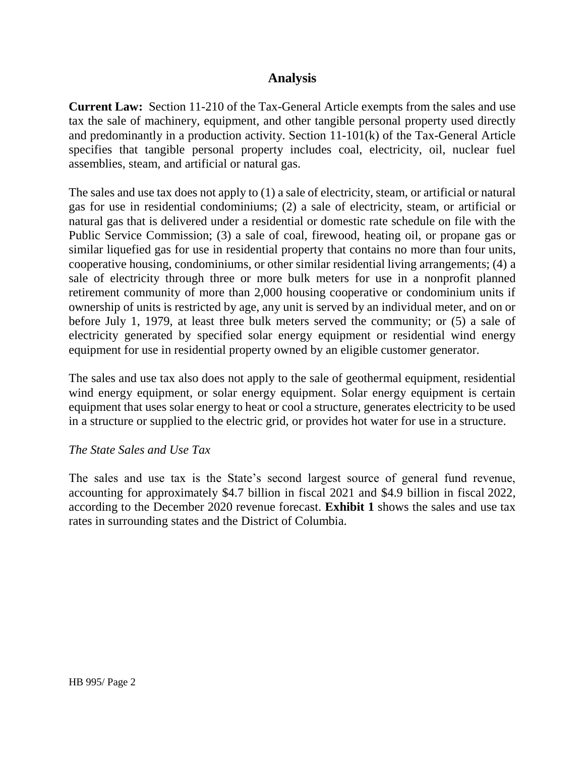## **Analysis**

**Current Law:** Section 11-210 of the Tax-General Article exempts from the sales and use tax the sale of machinery, equipment, and other tangible personal property used directly and predominantly in a production activity. Section 11-101(k) of the Tax-General Article specifies that tangible personal property includes coal, electricity, oil, nuclear fuel assemblies, steam, and artificial or natural gas.

The sales and use tax does not apply to (1) a sale of electricity, steam, or artificial or natural gas for use in residential condominiums; (2) a sale of electricity, steam, or artificial or natural gas that is delivered under a residential or domestic rate schedule on file with the Public Service Commission; (3) a sale of coal, firewood, heating oil, or propane gas or similar liquefied gas for use in residential property that contains no more than four units, cooperative housing, condominiums, or other similar residential living arrangements; (4) a sale of electricity through three or more bulk meters for use in a nonprofit planned retirement community of more than 2,000 housing cooperative or condominium units if ownership of units is restricted by age, any unit is served by an individual meter, and on or before July 1, 1979, at least three bulk meters served the community; or (5) a sale of electricity generated by specified solar energy equipment or residential wind energy equipment for use in residential property owned by an eligible customer generator.

The sales and use tax also does not apply to the sale of geothermal equipment, residential wind energy equipment, or solar energy equipment. Solar energy equipment is certain equipment that uses solar energy to heat or cool a structure, generates electricity to be used in a structure or supplied to the electric grid, or provides hot water for use in a structure.

#### *The State Sales and Use Tax*

The sales and use tax is the State's second largest source of general fund revenue, accounting for approximately \$4.7 billion in fiscal 2021 and \$4.9 billion in fiscal 2022, according to the December 2020 revenue forecast. **Exhibit 1** shows the sales and use tax rates in surrounding states and the District of Columbia.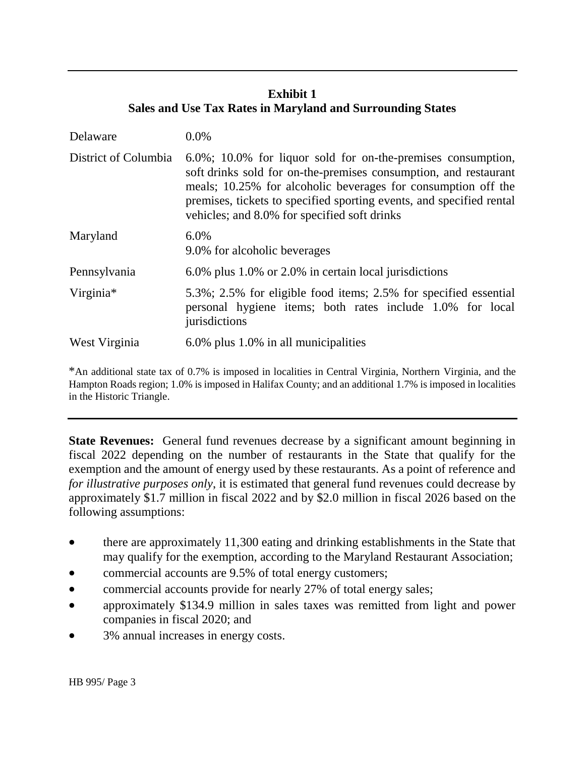## **Exhibit 1 Sales and Use Tax Rates in Maryland and Surrounding States**

| Delaware             | $0.0\%$                                                                                                                                                                                                                                                                                                                       |
|----------------------|-------------------------------------------------------------------------------------------------------------------------------------------------------------------------------------------------------------------------------------------------------------------------------------------------------------------------------|
| District of Columbia | $6.0\%$ ; 10.0% for liquor sold for on-the-premises consumption,<br>soft drinks sold for on-the-premises consumption, and restaurant<br>meals; 10.25% for alcoholic beverages for consumption off the<br>premises, tickets to specified sporting events, and specified rental<br>vehicles; and 8.0% for specified soft drinks |
| Maryland             | 6.0%<br>9.0% for alcoholic beverages                                                                                                                                                                                                                                                                                          |
| Pennsylvania         | 6.0% plus 1.0% or 2.0% in certain local jurisdictions                                                                                                                                                                                                                                                                         |
| Virginia*            | 5.3%; 2.5% for eligible food items; 2.5% for specified essential<br>personal hygiene items; both rates include 1.0% for local<br>jurisdictions                                                                                                                                                                                |
| West Virginia        | 6.0% plus 1.0% in all municipalities                                                                                                                                                                                                                                                                                          |

\*An additional state tax of 0.7% is imposed in localities in Central Virginia, Northern Virginia, and the Hampton Roads region; 1.0% is imposed in Halifax County; and an additional 1.7% is imposed in localities in the Historic Triangle.

**State Revenues:** General fund revenues decrease by a significant amount beginning in fiscal 2022 depending on the number of restaurants in the State that qualify for the exemption and the amount of energy used by these restaurants. As a point of reference and *for illustrative purposes only*, it is estimated that general fund revenues could decrease by approximately \$1.7 million in fiscal 2022 and by \$2.0 million in fiscal 2026 based on the following assumptions:

- there are approximately 11,300 eating and drinking establishments in the State that may qualify for the exemption, according to the Maryland Restaurant Association;
- commercial accounts are 9.5% of total energy customers;
- commercial accounts provide for nearly 27% of total energy sales;
- approximately \$134.9 million in sales taxes was remitted from light and power companies in fiscal 2020; and
- 3% annual increases in energy costs.